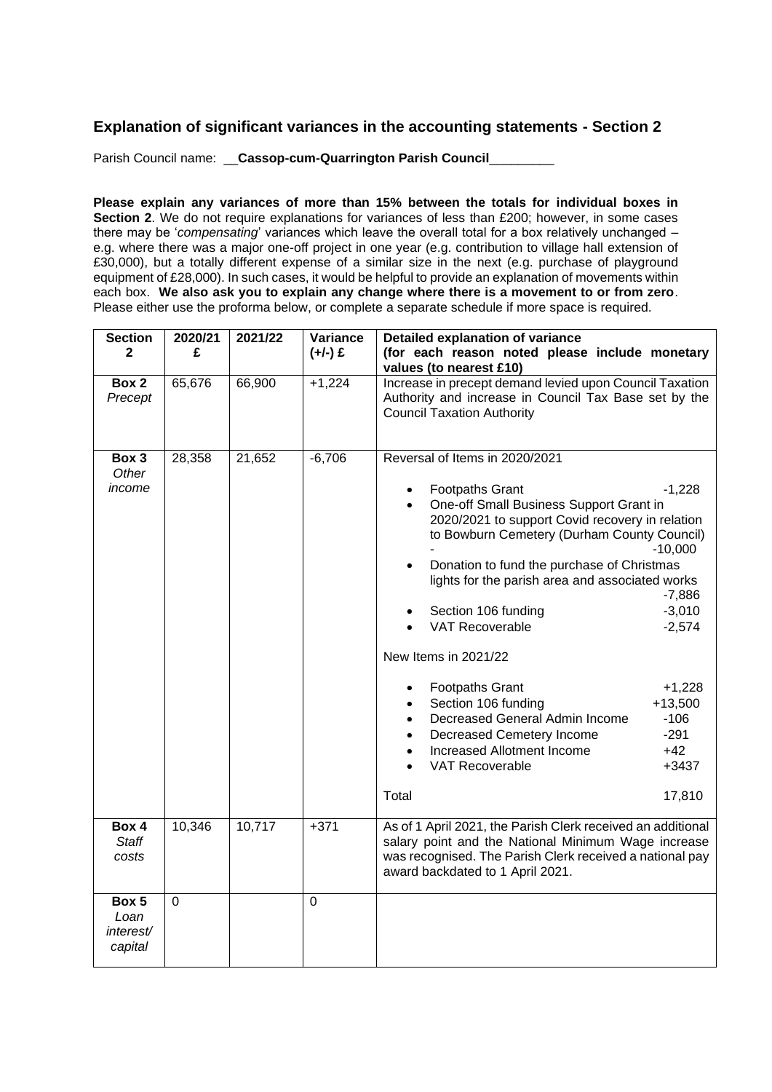## **Explanation of significant variances in the accounting statements - Section 2**

Parish Council name: **\_\_\_ Cassop-cum-Quarrington Parish Council\_\_\_\_** 

**Please explain any variances of more than 15% between the totals for individual boxes in Section 2.** We do not require explanations for variances of less than £200; however, in some cases there may be '*compensating*' variances which leave the overall total for a box relatively unchanged – e.g. where there was a major one-off project in one year (e.g. contribution to village hall extension of £30,000), but a totally different expense of a similar size in the next (e.g. purchase of playground equipment of £28,000). In such cases, it would be helpful to provide an explanation of movements within each box. **We also ask you to explain any change where there is a movement to or from zero**. Please either use the proforma below, or complete a separate schedule if more space is required.

| <b>Section</b>                        | 2020/21     | 2021/22 | Variance    | Detailed explanation of variance                                                                                                                                                                                                                                                                                                                                                                                                                                                                                                                                                                                                                                                                                                                                               |  |  |
|---------------------------------------|-------------|---------|-------------|--------------------------------------------------------------------------------------------------------------------------------------------------------------------------------------------------------------------------------------------------------------------------------------------------------------------------------------------------------------------------------------------------------------------------------------------------------------------------------------------------------------------------------------------------------------------------------------------------------------------------------------------------------------------------------------------------------------------------------------------------------------------------------|--|--|
| $\mathbf{2}$                          | £           |         | $(+/-)$ £   | (for each reason noted please include monetary<br>values (to nearest £10)                                                                                                                                                                                                                                                                                                                                                                                                                                                                                                                                                                                                                                                                                                      |  |  |
| Box 2<br>Precept                      | 65,676      | 66,900  | $+1,224$    | Increase in precept demand levied upon Council Taxation<br>Authority and increase in Council Tax Base set by the<br><b>Council Taxation Authority</b>                                                                                                                                                                                                                                                                                                                                                                                                                                                                                                                                                                                                                          |  |  |
| Box 3<br>Other<br>income              | 28,358      | 21,652  | $-6,706$    | Reversal of Items in 2020/2021<br><b>Footpaths Grant</b><br>$-1,228$<br>$\bullet$<br>One-off Small Business Support Grant in<br>$\bullet$<br>2020/2021 to support Covid recovery in relation<br>to Bowburn Cemetery (Durham County Council)<br>$-10,000$<br>Donation to fund the purchase of Christmas<br>lights for the parish area and associated works<br>$-7,886$<br>$-3,010$<br>Section 106 funding<br><b>VAT Recoverable</b><br>$-2,574$<br>New Items in 2021/22<br><b>Footpaths Grant</b><br>$+1,228$<br>٠<br>Section 106 funding<br>$+13,500$<br>$\bullet$<br>Decreased General Admin Income<br>$-106$<br>Decreased Cemetery Income<br>$-291$<br>$\bullet$<br>$+42$<br>Increased Allotment Income<br>$\bullet$<br><b>VAT Recoverable</b><br>$+3437$<br>Total<br>17,810 |  |  |
| Box 4<br><b>Staff</b><br>costs        | 10,346      | 10,717  | $+371$      | As of 1 April 2021, the Parish Clerk received an additional<br>salary point and the National Minimum Wage increase<br>was recognised. The Parish Clerk received a national pay<br>award backdated to 1 April 2021.                                                                                                                                                                                                                                                                                                                                                                                                                                                                                                                                                             |  |  |
| Box 5<br>Loan<br>interest/<br>capital | $\mathbf 0$ |         | $\mathbf 0$ |                                                                                                                                                                                                                                                                                                                                                                                                                                                                                                                                                                                                                                                                                                                                                                                |  |  |